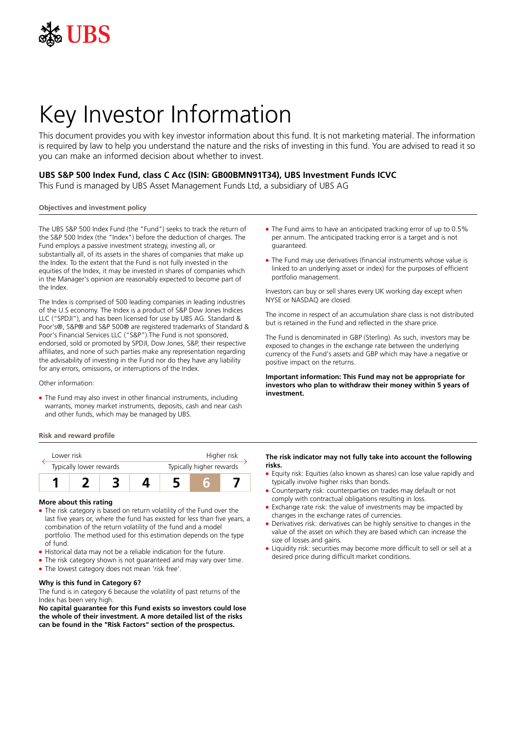

# Key Investor Information

This document provides you with key investor information about this fund. It is not marketing material. The information is required by law to help you understand the nature and the risks of investing in this fund. You are advised to read it so you can make an informed decision about whether to invest.

## **UBS S&P 500 Index Fund, class C Acc (ISIN: GB00BMN91T34), UBS Investment Funds ICVC**

This Fund is managed by UBS Asset Management Funds Ltd, a subsidiary of UBS AG

## **Objectives and investment policy**

The UBS S&P 500 Index Fund (the "Fund") seeks to track the return of the S&P 500 Index (the "Index") before the deduction of charges. The Fund employs a passive investment strategy, investing all, or substantially all, of its assets in the shares of companies that make up the Index. To the extent that the Fund is not fully invested in the equities of the Index, it may be invested in shares of companies which in the Manager's opinion are reasonably expected to become part of the Index.

The Index is comprised of 500 leading companies in leading industries of the U.S economy. The Index is a product of S&P Dow Jones Indices LLC ("SPDJI"), and has been licensed for use by UBS AG. Standard & Poor's®, S&P® and S&P 500® are registered trademarks of Standard & Poor's Financial Services LLC ("S&P").The Fund is not sponsored, endorsed, sold or promoted by SPDJI, Dow Jones, S&P, their respective affiliates, and none of such parties make any representation regarding the advisability of investing in the Fund nor do they have any liability for any errors, omissions, or interruptions of the Index.

#### Other information:

• The Fund may also invest in other financial instruments, including warrants, money market instruments, deposits, cash and near cash and other funds, which may be managed by UBS.

## **Risk and reward profile**



#### **More about this rating**

- The risk category is based on return volatility of the Fund over the last five years or, where the fund has existed for less than five years, a combination of the return volatility of the fund and a model portfolio. The method used for this estimation depends on the type of fund.
- Historical data may not be a reliable indication for the future.
- The risk category shown is not guaranteed and may vary over time.
- The lowest category does not mean 'risk free'.

## **Why is this fund in Category 6?**

The fund is in category 6 because the volatility of past returns of the Index has been very high.

**No capital guarantee for this Fund exists so investors could lose the whole of their investment. A more detailed list of the risks can be found in the "Risk Factors" section of the prospectus.**

- The Fund aims to have an anticipated tracking error of up to 0.5% per annum. The anticipated tracking error is a target and is not guaranteed.
- The Fund may use derivatives (financial instruments whose value is linked to an underlying asset or index) for the purposes of efficient portfolio management.

Investors can buy or sell shares every UK working day except when NYSE or NASDAQ are closed.

The income in respect of an accumulation share class is not distributed but is retained in the Fund and reflected in the share price.

The Fund is denominated in GBP (Sterling). As such, investors may be exposed to changes in the exchange rate between the underlying currency of the Fund's assets and GBP which may have a negative or positive impact on the returns.

**Important information: This Fund may not be appropriate for investors who plan to withdraw their money within 5 years of investment.**

### **The risk indicator may not fully take into account the following risks.**

- Equity risk: Equities (also known as shares) can lose value rapidly and typically involve higher risks than bonds.
- 5 Counterparty risk: counterparties on trades may default or not comply with contractual obligations resulting in loss.
- Exchange rate risk: the value of investments may be impacted by changes in the exchange rates of currencies.
- Derivatives risk: derivatives can be highly sensitive to changes in the value of the asset on which they are based which can increase the size of losses and gains.
- Liquidity risk: securities may become more difficult to sell or sell at a desired price during difficult market conditions.